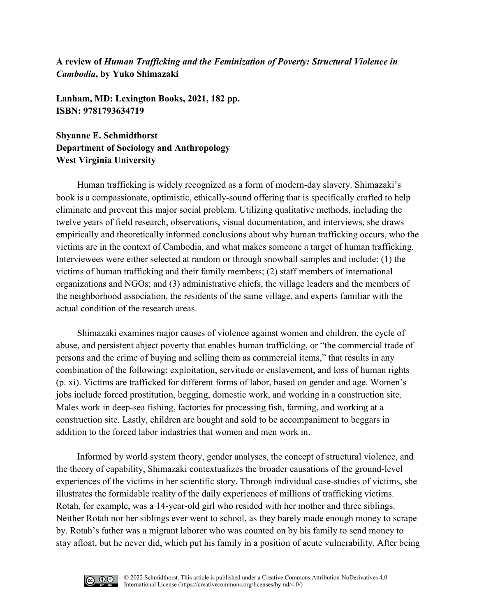**A review of** *Human Trafficking and the Feminization of Poverty: Structural Violence in Cambodia***, by Yuko Shimazaki**

**Lanham, MD: Lexington Books, 2021, 182 pp. ISBN: 9781793634719**

**Shyanne E. Schmidthorst Department of Sociology and Anthropology West Virginia University**

Human trafficking is widely recognized as a form of modern-day slavery. Shimazaki's book is a compassionate, optimistic, ethically-sound offering that is specifically crafted to help eliminate and prevent this major social problem. Utilizing qualitative methods, including the twelve years of field research, observations, visual documentation, and interviews, she draws empirically and theoretically informed conclusions about why human trafficking occurs, who the victims are in the context of Cambodia, and what makes someone a target of human trafficking. Interviewees were either selected at random or through snowball samples and include: (1) the victims of human trafficking and their family members; (2) staff members of international organizations and NGOs; and (3) administrative chiefs, the village leaders and the members of the neighborhood association, the residents of the same village, and experts familiar with the actual condition of the research areas.

Shimazaki examines major causes of violence against women and children, the cycle of abuse, and persistent abject poverty that enables human trafficking, or "the commercial trade of persons and the crime of buying and selling them as commercial items," that results in any combination of the following: exploitation, servitude or enslavement, and loss of human rights (p. xi). Victims are trafficked for different forms of labor, based on gender and age. Women's jobs include forced prostitution, begging, domestic work, and working in a construction site. Males work in deep-sea fishing, factories for processing fish, farming, and working at a construction site. Lastly, children are bought and sold to be accompaniment to beggars in addition to the forced labor industries that women and men work in.

Informed by world system theory, gender analyses, the concept of structural violence, and the theory of capability, Shimazaki contextualizes the broader causations of the ground-level experiences of the victims in her scientific story. Through individual case-studies of victims, she illustrates the formidable reality of the daily experiences of millions of trafficking victims. Rotah, for example, was a 14-year-old girl who resided with her mother and three siblings. Neither Rotah nor her siblings ever went to school, as they barely made enough money to scrape by. Rotah's father was a migrant laborer who was counted on by his family to send money to stay afloat, but he never did, which put his family in a position of acute vulnerability. After being

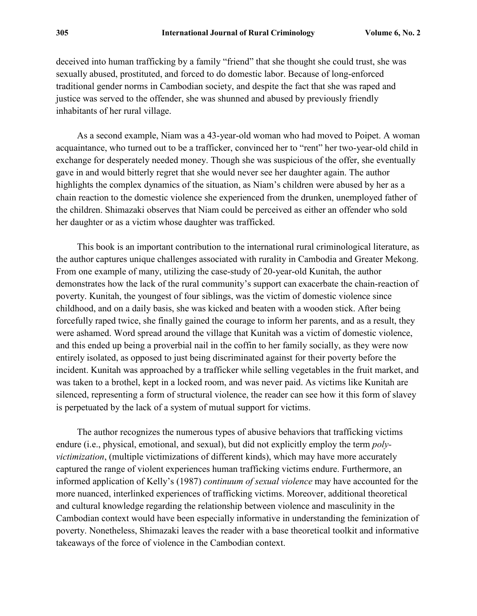deceived into human trafficking by a family "friend" that she thought she could trust, she was sexually abused, prostituted, and forced to do domestic labor. Because of long-enforced traditional gender norms in Cambodian society, and despite the fact that she was raped and justice was served to the offender, she was shunned and abused by previously friendly inhabitants of her rural village.

As a second example, Niam was a 43-year-old woman who had moved to Poipet. A woman acquaintance, who turned out to be a trafficker, convinced her to "rent" her two-year-old child in exchange for desperately needed money. Though she was suspicious of the offer, she eventually gave in and would bitterly regret that she would never see her daughter again. The author highlights the complex dynamics of the situation, as Niam's children were abused by her as a chain reaction to the domestic violence she experienced from the drunken, unemployed father of the children. Shimazaki observes that Niam could be perceived as either an offender who sold her daughter or as a victim whose daughter was trafficked.

This book is an important contribution to the international rural criminological literature, as the author captures unique challenges associated with rurality in Cambodia and Greater Mekong. From one example of many, utilizing the case-study of 20-year-old Kunitah, the author demonstrates how the lack of the rural community's support can exacerbate the chain-reaction of poverty. Kunitah, the youngest of four siblings, was the victim of domestic violence since childhood, and on a daily basis, she was kicked and beaten with a wooden stick. After being forcefully raped twice, she finally gained the courage to inform her parents, and as a result, they were ashamed. Word spread around the village that Kunitah was a victim of domestic violence, and this ended up being a proverbial nail in the coffin to her family socially, as they were now entirely isolated, as opposed to just being discriminated against for their poverty before the incident. Kunitah was approached by a trafficker while selling vegetables in the fruit market, and was taken to a brothel, kept in a locked room, and was never paid. As victims like Kunitah are silenced, representing a form of structural violence, the reader can see how it this form of slavey is perpetuated by the lack of a system of mutual support for victims.

The author recognizes the numerous types of abusive behaviors that trafficking victims endure (i.e., physical, emotional, and sexual), but did not explicitly employ the term *polyvictimization*, (multiple victimizations of different kinds), which may have more accurately captured the range of violent experiences human trafficking victims endure. Furthermore, an informed application of Kelly's (1987) *continuum of sexual violence* may have accounted for the more nuanced, interlinked experiences of trafficking victims. Moreover, additional theoretical and cultural knowledge regarding the relationship between violence and masculinity in the Cambodian context would have been especially informative in understanding the feminization of poverty. Nonetheless, Shimazaki leaves the reader with a base theoretical toolkit and informative takeaways of the force of violence in the Cambodian context.